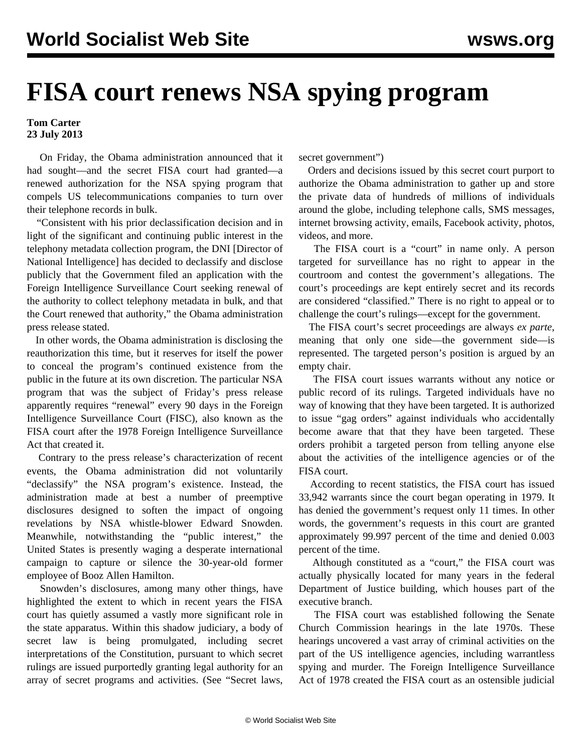## **FISA court renews NSA spying program**

## **Tom Carter 23 July 2013**

 On Friday, the Obama administration announced that it had sought—and the secret FISA court had granted—a renewed authorization for the NSA spying program that compels US telecommunications companies to turn over their telephone records in bulk.

 "Consistent with his prior declassification decision and in light of the significant and continuing public interest in the telephony metadata collection program, the DNI [Director of National Intelligence] has decided to declassify and disclose publicly that the Government filed an application with the Foreign Intelligence Surveillance Court seeking renewal of the authority to collect telephony metadata in bulk, and that the Court renewed that authority," the Obama administration press release stated.

 In other words, the Obama administration is disclosing the reauthorization this time, but it reserves for itself the power to conceal the program's continued existence from the public in the future at its own discretion. The particular NSA program that was the subject of Friday's press release apparently requires "renewal" every 90 days in the Foreign Intelligence Surveillance Court (FISC), also known as the FISA court after the 1978 Foreign Intelligence Surveillance Act that created it.

 Contrary to the press release's characterization of recent events, the Obama administration did not voluntarily "declassify" the NSA program's existence. Instead, the administration made at best a number of preemptive disclosures designed to soften the impact of ongoing revelations by NSA whistle-blower Edward Snowden. Meanwhile, notwithstanding the "public interest," the United States is presently waging a desperate international campaign to capture or silence the 30-year-old former employee of Booz Allen Hamilton.

 Snowden's disclosures, among many other things, have highlighted the extent to which in recent years the FISA court has quietly assumed a vastly more significant role in the state apparatus. Within this shadow judiciary, a body of secret law is being promulgated, including secret interpretations of the Constitution, pursuant to which secret rulings are issued purportedly granting legal authority for an array of secret programs and activities. (See "[Secret laws,](/en/articles/2013/07/08/pers-j08.html)

[secret government](/en/articles/2013/07/08/pers-j08.html)")

 Orders and decisions issued by this secret court purport to authorize the Obama administration to gather up and store the private data of hundreds of millions of individuals around the globe, including telephone calls, SMS messages, internet browsing activity, emails, Facebook activity, photos, videos, and more.

 The FISA court is a "court" in name only. A person targeted for surveillance has no right to appear in the courtroom and contest the government's allegations. The court's proceedings are kept entirely secret and its records are considered "classified." There is no right to appeal or to challenge the court's rulings—except for the government.

 The FISA court's secret proceedings are always *ex parte*, meaning that only one side—the government side—is represented. The targeted person's position is argued by an empty chair.

 The FISA court issues warrants without any notice or public record of its rulings. Targeted individuals have no way of knowing that they have been targeted. It is authorized to issue "gag orders" against individuals who accidentally become aware that that they have been targeted. These orders prohibit a targeted person from telling anyone else about the activities of the intelligence agencies or of the FISA court.

 According to recent statistics, the FISA court has issued 33,942 warrants since the court began operating in 1979. It has denied the government's request only 11 times. In other words, the government's requests in this court are granted approximately 99.997 percent of the time and denied 0.003 percent of the time.

 Although constituted as a "court," the FISA court was actually physically located for many years in the federal Department of Justice building, which houses part of the executive branch.

 The FISA court was established following the Senate Church Commission hearings in the late 1970s. These hearings uncovered a vast array of criminal activities on the part of the US intelligence agencies, including warrantless spying and murder. The Foreign Intelligence Surveillance Act of 1978 created the FISA court as an ostensible judicial